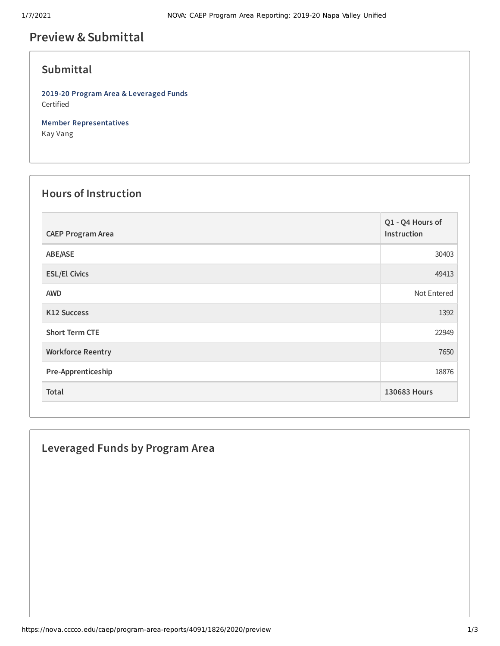# **Preview &Submittal**

## **Submittal**

**2019-20 Program Area & Leveraged Funds** Certified

**Member Representatives** Kay Vang

# **Hours of Instruction**

| <b>CAEP Program Area</b> | Q1 - Q4 Hours of<br>Instruction |
|--------------------------|---------------------------------|
| ABE/ASE                  | 30403                           |
| <b>ESL/El Civics</b>     | 49413                           |
| <b>AWD</b>               | Not Entered                     |
| <b>K12 Success</b>       | 1392                            |
| <b>Short Term CTE</b>    | 22949                           |
| <b>Workforce Reentry</b> | 7650                            |
| Pre-Apprenticeship       | 18876                           |
| Total                    | 130683 Hours                    |

#### **Leveraged Funds by Program Area**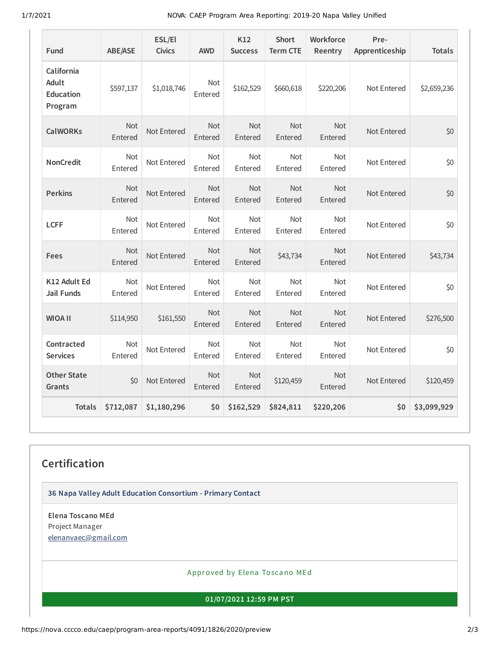1/7/2021 NOVA: CAEP Program Area Reporting: 2019-20 Napa Valley Unified

| Fund                                               | <b>ABE/ASE</b>        | ESL/El<br><b>Civics</b> | <b>AWD</b>            | K12<br><b>Success</b> | <b>Short</b><br><b>Term CTE</b> | Workforce<br>Reentry  | Pre-<br>Apprenticeship | <b>Totals</b> |
|----------------------------------------------------|-----------------------|-------------------------|-----------------------|-----------------------|---------------------------------|-----------------------|------------------------|---------------|
| California<br>Adult<br><b>Education</b><br>Program | \$597,137             | \$1,018,746             | Not<br>Entered        | \$162,529             | \$660,618                       | \$220,206             | Not Entered            | \$2,659,236   |
| <b>CalWORKs</b>                                    | <b>Not</b><br>Entered | Not Entered             | <b>Not</b><br>Entered | Not<br>Entered        | <b>Not</b><br>Entered           | <b>Not</b><br>Entered | Not Entered            | \$0           |
| <b>NonCredit</b>                                   | <b>Not</b><br>Entered | Not Entered             | Not<br>Entered        | <b>Not</b><br>Entered | <b>Not</b><br>Entered           | <b>Not</b><br>Entered | Not Entered            | \$0           |
| <b>Perkins</b>                                     | <b>Not</b><br>Entered | Not Entered             | Not<br>Entered        | <b>Not</b><br>Entered | <b>Not</b><br>Entered           | <b>Not</b><br>Entered | Not Entered            | \$0           |
| <b>LCFF</b>                                        | Not<br>Entered        | Not Entered             | Not<br>Entered        | Not<br>Entered        | Not<br>Entered                  | <b>Not</b><br>Entered | Not Entered            | \$0           |
| Fees                                               | <b>Not</b><br>Entered | Not Entered             | <b>Not</b><br>Entered | Not<br>Entered        | \$43,734                        | <b>Not</b><br>Entered | Not Entered            | \$43,734      |
| K12 Adult Ed<br><b>Jail Funds</b>                  | <b>Not</b><br>Entered | Not Entered             | Not<br>Entered        | <b>Not</b><br>Entered | <b>Not</b><br>Entered           | <b>Not</b><br>Entered | Not Entered            | \$0           |
| <b>WIOA II</b>                                     | \$114,950             | \$161,550               | Not<br>Entered        | <b>Not</b><br>Entered | <b>Not</b><br>Entered           | <b>Not</b><br>Entered | Not Entered            | \$276,500     |
| Contracted<br><b>Services</b>                      | <b>Not</b><br>Entered | Not Entered             | <b>Not</b><br>Entered | <b>Not</b><br>Entered | <b>Not</b><br>Entered           | <b>Not</b><br>Entered | Not Entered            | \$0           |
| <b>Other State</b><br>Grants                       | \$0                   | Not Entered             | Not<br>Entered        | Not<br>Entered        | \$120,459                       | Not<br>Entered        | Not Entered            | \$120,459     |
| <b>Totals</b>                                      | \$712,087             | \$1,180,296             | \$0                   | \$162,529             | \$824,811                       | \$220,206             | \$0                    | \$3,099,929   |

## **Certification**

**36 Napa Valley Adult Education Consortium - Primary Contact**

**Elena Toscano MEd** Project Manager [elenanvaec@gmail.com](mailto:elenanvaec@gmail.com)

Approved by Elena Toscano MEd

**01/07/2021 12:59 PM PST**